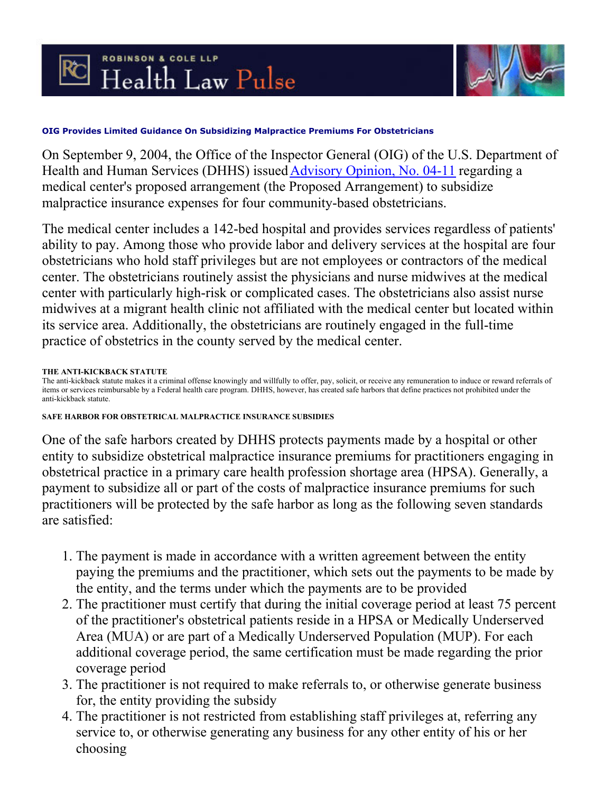



## **OIG Provides Limited Guidance On Subsidizing Malpractice Premiums For Obstetricians**

On September 9, 2004, the Office of the Inspector General (OIG) of the U.S. Department of Health and Human Services (DHHS) issued [Advisory Opinion, No. 04-11](http://www.oig.hhs.gov/fraud/docs/advisoryopinions/2004/ao0411.pdf) regarding a medical center's proposed arrangement (the Proposed Arrangement) to subsidize malpractice insurance expenses for four community-based obstetricians.

The medical center includes a 142-bed hospital and provides services regardless of patients' ability to pay. Among those who provide labor and delivery services at the hospital are four obstetricians who hold staff privileges but are not employees or contractors of the medical center. The obstetricians routinely assist the physicians and nurse midwives at the medical center with particularly high-risk or complicated cases. The obstetricians also assist nurse midwives at a migrant health clinic not affiliated with the medical center but located within its service area. Additionally, the obstetricians are routinely engaged in the full-time practice of obstetrics in the county served by the medical center.

## **THE ANTI-KICKBACK STATUTE**

The anti-kickback statute makes it a criminal offense knowingly and willfully to offer, pay, solicit, or receive any remuneration to induce or reward referrals of items or services reimbursable by a Federal health care program. DHHS, however, has created safe harbors that define practices not prohibited under the anti-kickback statute.

## **SAFE HARBOR FOR OBSTETRICAL MALPRACTICE INSURANCE SUBSIDIES**

One of the safe harbors created by DHHS protects payments made by a hospital or other entity to subsidize obstetrical malpractice insurance premiums for practitioners engaging in obstetrical practice in a primary care health profession shortage area (HPSA). Generally, a payment to subsidize all or part of the costs of malpractice insurance premiums for such practitioners will be protected by the safe harbor as long as the following seven standards are satisfied:

- 1. The payment is made in accordance with a written agreement between the entity paying the premiums and the practitioner, which sets out the payments to be made by the entity, and the terms under which the payments are to be provided
- The practitioner must certify that during the initial coverage period at least 75 percent 2. of the practitioner's obstetrical patients reside in a HPSA or Medically Underserved Area (MUA) or are part of a Medically Underserved Population (MUP). For each additional coverage period, the same certification must be made regarding the prior coverage period
- The practitioner is not required to make referrals to, or otherwise generate business 3. for, the entity providing the subsidy
- The practitioner is not restricted from establishing staff privileges at, referring any 4.service to, or otherwise generating any business for any other entity of his or her choosing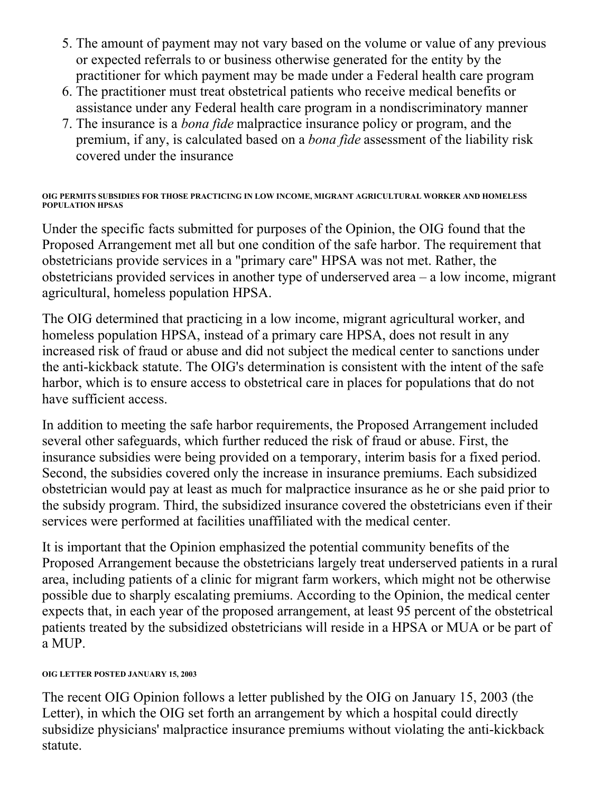- 5. The amount of payment may not vary based on the volume or value of any previous or expected referrals to or business otherwise generated for the entity by the practitioner for which payment may be made under a Federal health care program
- The practitioner must treat obstetrical patients who receive medical benefits or 6. assistance under any Federal health care program in a nondiscriminatory manner
- 7. The insurance is a *bona fide* malpractice insurance policy or program, and the premium, if any, is calculated based on a *bona fide* assessment of the liability risk covered under the insurance

**OIG PERMITS SUBSIDIES FOR THOSE PRACTICING IN LOW INCOME, MIGRANT AGRICULTURAL WORKER AND HOMELESS POPULATION HPSAS** 

Under the specific facts submitted for purposes of the Opinion, the OIG found that the Proposed Arrangement met all but one condition of the safe harbor. The requirement that obstetricians provide services in a "primary care" HPSA was not met. Rather, the obstetricians provided services in another type of underserved area – a low income, migrant agricultural, homeless population HPSA.

The OIG determined that practicing in a low income, migrant agricultural worker, and homeless population HPSA, instead of a primary care HPSA, does not result in any increased risk of fraud or abuse and did not subject the medical center to sanctions under the anti-kickback statute. The OIG's determination is consistent with the intent of the safe harbor, which is to ensure access to obstetrical care in places for populations that do not have sufficient access.

In addition to meeting the safe harbor requirements, the Proposed Arrangement included several other safeguards, which further reduced the risk of fraud or abuse. First, the insurance subsidies were being provided on a temporary, interim basis for a fixed period. Second, the subsidies covered only the increase in insurance premiums. Each subsidized obstetrician would pay at least as much for malpractice insurance as he or she paid prior to the subsidy program. Third, the subsidized insurance covered the obstetricians even if their services were performed at facilities unaffiliated with the medical center.

It is important that the Opinion emphasized the potential community benefits of the Proposed Arrangement because the obstetricians largely treat underserved patients in a rural area, including patients of a clinic for migrant farm workers, which might not be otherwise possible due to sharply escalating premiums. According to the Opinion, the medical center expects that, in each year of the proposed arrangement, at least 95 percent of the obstetrical patients treated by the subsidized obstetricians will reside in a HPSA or MUA or be part of a MUP.

## **OIG LETTER POSTED JANUARY 15, 2003**

The recent OIG Opinion follows a letter published by the OIG on January 15, 2003 (the Letter), in which the OIG set forth an arrangement by which a hospital could directly subsidize physicians' malpractice insurance premiums without violating the anti-kickback statute.